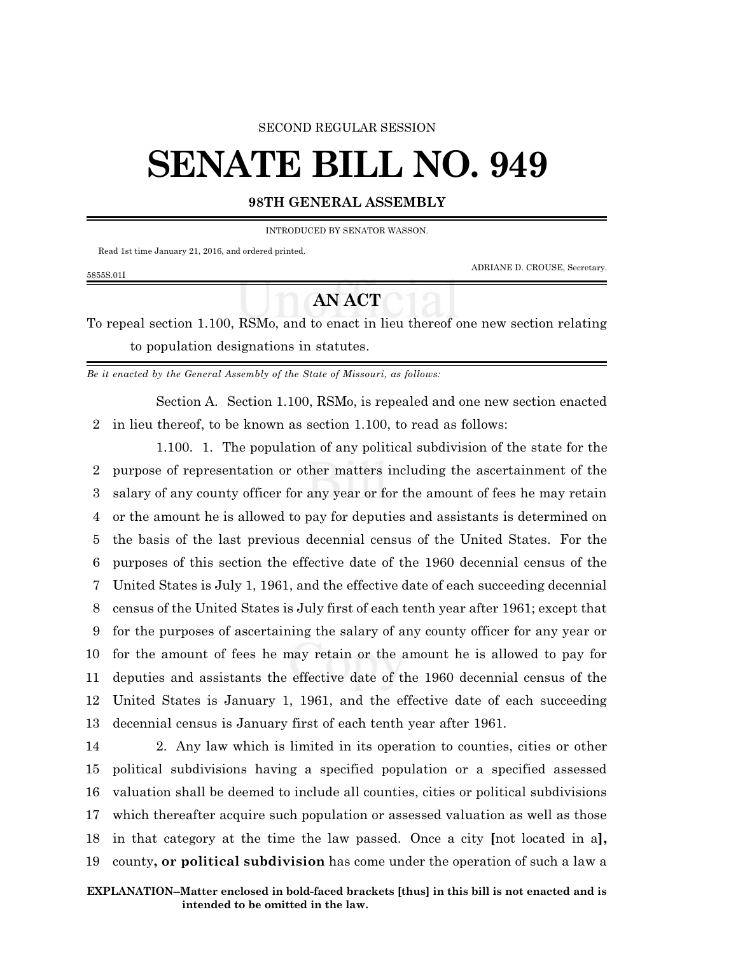### SECOND REGULAR SESSION

# **SENATE BILL NO. 949**

## **98TH GENERAL ASSEMBLY**

INTRODUCED BY SENATOR WASSON.

Read 1st time January 21, 2016, and ordered printed.

5855S.01I

ADRIANE D. CROUSE, Secretary.

# **AN ACT**

To repeal section 1.100, RSMo, and to enact in lieu thereof one new section relating to population designations in statutes.

*Be it enacted by the General Assembly of the State of Missouri, as follows:*

Section A. Section 1.100, RSMo, is repealed and one new section enacted 2 in lieu thereof, to be known as section 1.100, to read as follows:

1.100. 1. The population of any political subdivision of the state for the purpose of representation or other matters including the ascertainment of the salary of any county officer for any year or for the amount of fees he may retain or the amount he is allowed to pay for deputies and assistants is determined on the basis of the last previous decennial census of the United States. For the purposes of this section the effective date of the 1960 decennial census of the United States is July 1, 1961, and the effective date of each succeeding decennial census of the United States is July first of each tenth year after 1961; except that for the purposes of ascertaining the salary of any county officer for any year or for the amount of fees he may retain or the amount he is allowed to pay for deputies and assistants the effective date of the 1960 decennial census of the United States is January 1, 1961, and the effective date of each succeeding decennial census is January first of each tenth year after 1961.

 2. Any law which is limited in its operation to counties, cities or other political subdivisions having a specified population or a specified assessed valuation shall be deemed to include all counties, cities or political subdivisions which thereafter acquire such population or assessed valuation as well as those in that category at the time the law passed. Once a city **[**not located in a**],** county**, or political subdivision** has come under the operation of such a law a